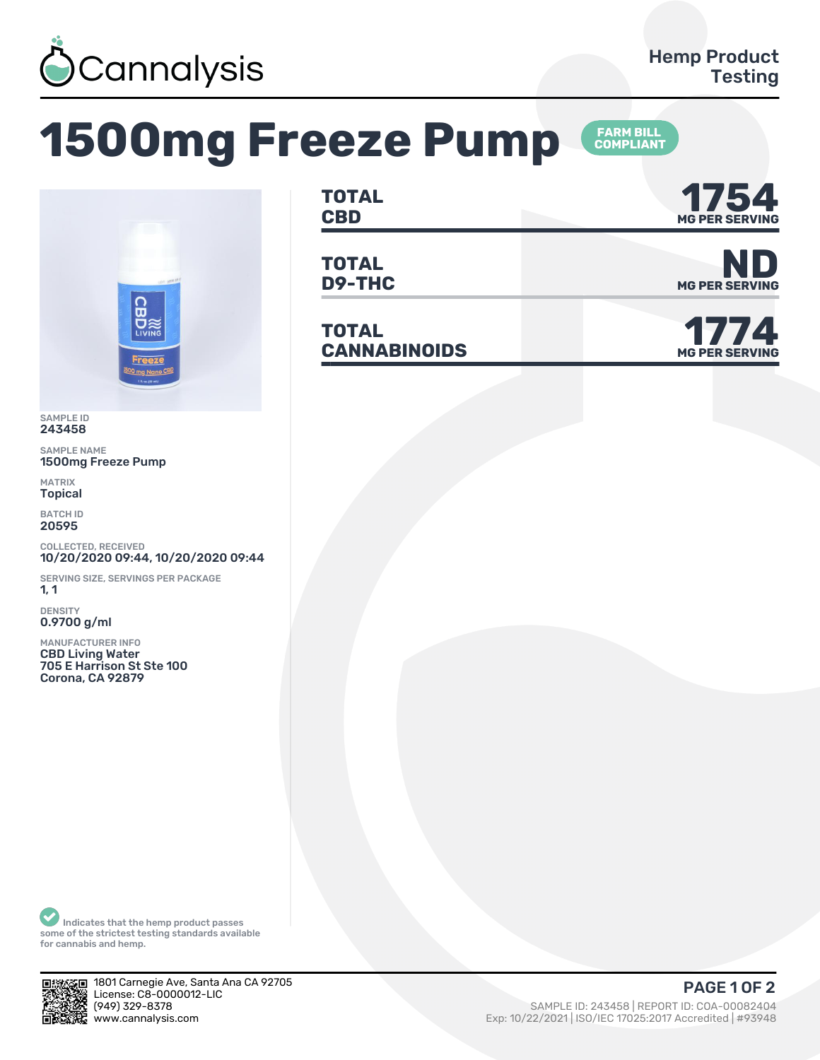

## **1500mg Freeze Pump**





SAMPLE ID 243458

SAMPLE NAME 1500mg Freeze Pump

MATRIX Topical

BATCH ID 20595

COLLECTED, RECEIVED 10/20/2020 09:44, 10/20/2020 09:44

SERVING SIZE, SERVINGS PER PACKAGE  $1, 1$ 

DENSITY 0.9700 g/ml

MANUFACTURER INFO CBD Living Water 705 E Harrison St Ste 100 Corona, CA 92879

| TOTAL<br><b>CBD</b> | 1 E <i>T</i><br>I J J H<br><b>MG PER SERVING</b> |
|---------------------|--------------------------------------------------|
|                     |                                                  |

**TOTAL D9-THC** MG PER SERVING

**TOTAL**  $CANNABINOIDS$ 



Indicates that the hemp product passes some of the strictest testing standards available for cannabis and hemp.



1801 Carnegie Ave, Santa Ana CA 92705 License: C8-0000012-LIC<br>(949) 329-8378 www.cannalysis.com Exp: 10/22/2021 | ISO/IEC 17025:2017 Accredited | #93948